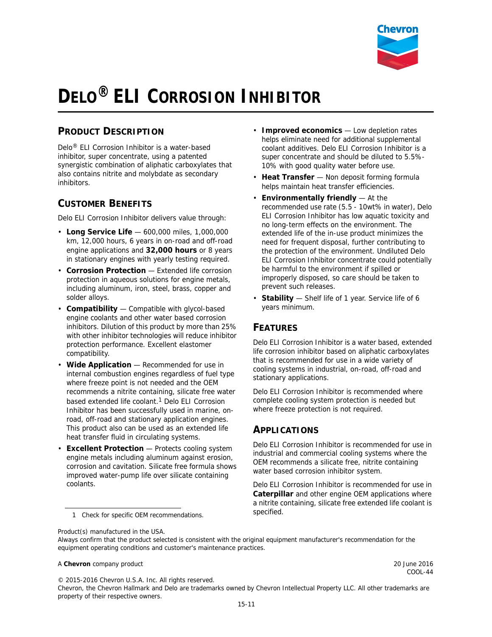

# **DELO® ELI CORROSION INHIBITOR**

# **PRODUCT DESCRIPTION**

Delo® ELI Corrosion Inhibitor is a water-based inhibitor, super concentrate, using a patented synergistic combination of aliphatic carboxylates that also contains nitrite and molybdate as secondary inhibitors.

## **CUSTOMER BENEFITS**

Delo ELI Corrosion Inhibitor delivers value through:

- **Long Service Life** 600,000 miles, 1,000,000 km, 12,000 hours, 6 years in on-road and off-road engine applications and **32,000 hours** or 8 years in stationary engines with yearly testing required.
- **Corrosion Protection** Extended life corrosion protection in aqueous solutions for engine metals, including aluminum, iron, steel, brass, copper and solder alloys.
- **Compatibility** Compatible with glycol-based engine coolants and other water based corrosion inhibitors. Dilution of this product by more than 25% with other inhibitor technologies will reduce inhibitor protection performance. Excellent elastomer compatibility.
- **Wide Application** Recommended for use in internal combustion engines regardless of fuel type where freeze point is not needed and the OEM recommends a nitrite containing, silicate free water based extended life coolant.1 Delo ELI Corrosion Inhibitor has been successfully used in marine, onroad, off-road and stationary application engines. This product also can be used as an extended life heat transfer fluid in circulating systems.
- **Excellent Protection** Protects cooling system engine metals including aluminum against erosion, corrosion and cavitation. Silicate free formula shows improved water-pump life over silicate containing coolants.
- **Improved economics** Low depletion rates helps eliminate need for additional supplemental coolant additives. Delo ELI Corrosion Inhibitor is a super concentrate and should be diluted to 5.5%- 10% with good quality water before use.
- **Heat Transfer** Non deposit forming formula helps maintain heat transfer efficiencies.
- **Environmentally friendly** At the recommended use rate (5.5 - 10wt% in water), Delo ELI Corrosion Inhibitor has low aquatic toxicity and no long-term effects on the environment. The extended life of the in-use product minimizes the need for frequent disposal, further contributing to the protection of the environment. Undiluted Delo ELI Corrosion Inhibitor concentrate could potentially be harmful to the environment if spilled or improperly disposed, so care should be taken to prevent such releases.
- **Stability** Shelf life of 1 year. Service life of 6 years minimum.

## **FEATURES**

Delo ELI Corrosion Inhibitor is a water based, extended life corrosion inhibitor based on aliphatic carboxylates that is recommended for use in a wide variety of cooling systems in industrial, on-road, off-road and stationary applications.

Delo ELI Corrosion Inhibitor is recommended where complete cooling system protection is needed but where freeze protection is not required.

## **APPLICATIONS**

Delo ELI Corrosion Inhibitor is recommended for use in industrial and commercial cooling systems where the OEM recommends a silicate free, nitrite containing water based corrosion inhibitor system.

Delo ELI Corrosion Inhibitor is recommended for use in **Caterpillar** and other engine OEM applications where a nitrite containing, silicate free extended life coolant is

specified. 1 Check for specific OEM recommendations.

Product(s) manufactured in the USA.

#### A **Chevron** company product 20 June 2016

COOL-44

© 2015-2016 Chevron U.S.A. Inc. All rights reserved.

Chevron, the Chevron Hallmark and Delo are trademarks owned by Chevron Intellectual Property LLC. All other trademarks are property of their respective owners.

Always confirm that the product selected is consistent with the original equipment manufacturer's recommendation for the equipment operating conditions and customer's maintenance practices.